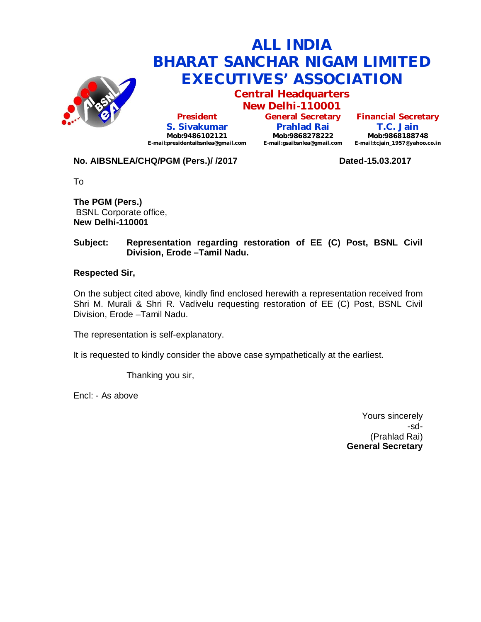

**Central Headquarters**

**New Delhi-110001 President S. Sivakumar Mob:9486102121 E-mail:presidentaibsnlea@gmail.com**

**General Secretary Prahlad Rai Mob:9868278222 E-mail:gsaibsnlea@gmail.com**

**Financial Secretary T.C. Jain Mob:9868188748 E-mail:tcjain\_1957@yahoo.co.in**

## **No. AIBSNLEA/CHQ/PGM (Pers.)/ /2017 Dated-15.03.2017**

To

**The PGM (Pers.)** BSNL Corporate office, **New Delhi-110001** 

### **Subject: Representation regarding restoration of EE (C) Post, BSNL Civil Division, Erode –Tamil Nadu.**

### **Respected Sir,**

On the subject cited above, kindly find enclosed herewith a representation received from Shri M. Murali & Shri R. Vadivelu requesting restoration of EE (C) Post, BSNL Civil Division, Erode –Tamil Nadu.

The representation is self-explanatory.

It is requested to kindly consider the above case sympathetically at the earliest.

Thanking you sir,

Encl: - As above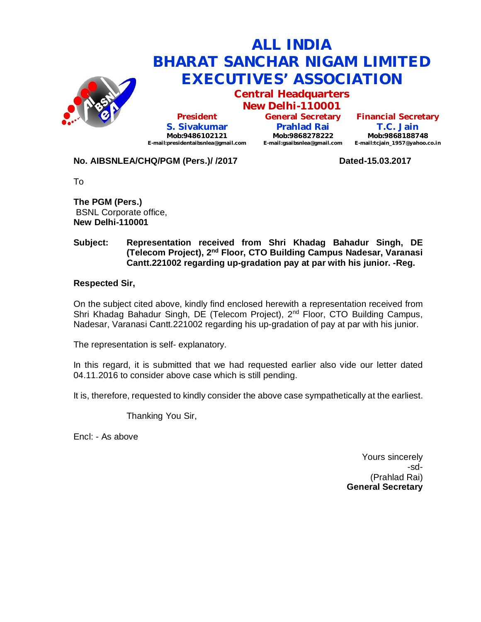

**Central Headquarters**

**New Delhi-110001 President S. Sivakumar Mob:9486102121 E-mail:presidentaibsnlea@gmail.com**

**General Secretary Prahlad Rai Mob:9868278222 E-mail:gsaibsnlea@gmail.com**

**Financial Secretary T.C. Jain Mob:9868188748 E-mail:tcjain\_1957@yahoo.co.in**

## **No. AIBSNLEA/CHQ/PGM (Pers.)/ /2017 Dated-15.03.2017**

To

**The PGM (Pers.)** BSNL Corporate office, **New Delhi-110001** 

#### **Subject: Representation received from Shri Khadag Bahadur Singh, DE (Telecom Project), 2nd Floor, CTO Building Campus Nadesar, Varanasi Cantt.221002 regarding up-gradation pay at par with his junior. -Reg.**

### **Respected Sir,**

On the subject cited above, kindly find enclosed herewith a representation received from Shri Khadag Bahadur Singh, DE (Telecom Project), 2<sup>nd</sup> Floor, CTO Building Campus, Nadesar, Varanasi Cantt.221002 regarding his up-gradation of pay at par with his junior.

The representation is self- explanatory.

In this regard, it is submitted that we had requested earlier also vide our letter dated 04.11.2016 to consider above case which is still pending.

It is, therefore, requested to kindly consider the above case sympathetically at the earliest.

Thanking You Sir,

Encl: - As above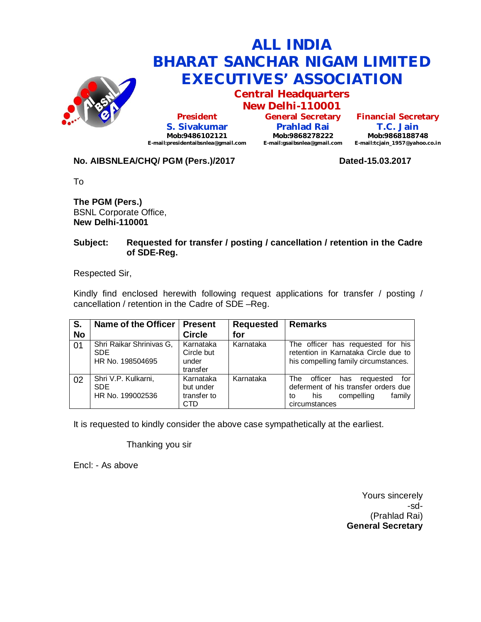

**Central Headquarters New Delhi-110001**

**President S. Sivakumar Mob:9486102121 E-mail:presidentaibsnlea@gmail.com**

**General Secretary Prahlad Rai Mob:9868278222 E-mail:gsaibsnlea@gmail.com**

**Financial Secretary T.C. Jain Mob:9868188748 E-mail:tcjain\_1957@yahoo.co.in**

## **No. AIBSNLEA/CHQ/ PGM (Pers.)/2017 Dated-15.03.2017**

To

**The PGM (Pers.)** BSNL Corporate Office, **New Delhi-110001** 

### **Subject: Requested for transfer / posting / cancellation / retention in the Cadre of SDE-Reg.**

Respected Sir,

Kindly find enclosed herewith following request applications for transfer / posting / cancellation / retention in the Cadre of SDE –Reg.

| S.        | Name of the Officer                                        | <b>Present</b>                                      | <b>Requested</b> | <b>Remarks</b>                                                                                                                          |
|-----------|------------------------------------------------------------|-----------------------------------------------------|------------------|-----------------------------------------------------------------------------------------------------------------------------------------|
| <b>No</b> |                                                            | <b>Circle</b>                                       | for              |                                                                                                                                         |
| 01        | Shri Raikar Shrinivas G,<br><b>SDE</b><br>HR No. 198504695 | Karnataka<br>Circle but<br>under<br>transfer        | Karnataka        | The officer has requested for his<br>retention in Karnataka Circle due to<br>his compelling family circumstances.                       |
| 02        | Shri V.P. Kulkarni,<br><b>SDE</b><br>HR No. 199002536      | Karnataka<br>but under<br>transfer to<br><b>CTD</b> | Karnataka        | officer<br>The<br>requested<br>has<br>for<br>deferment of his transfer orders due<br>family<br>his<br>compelling<br>to<br>circumstances |

It is requested to kindly consider the above case sympathetically at the earliest.

Thanking you sir

Encl: - As above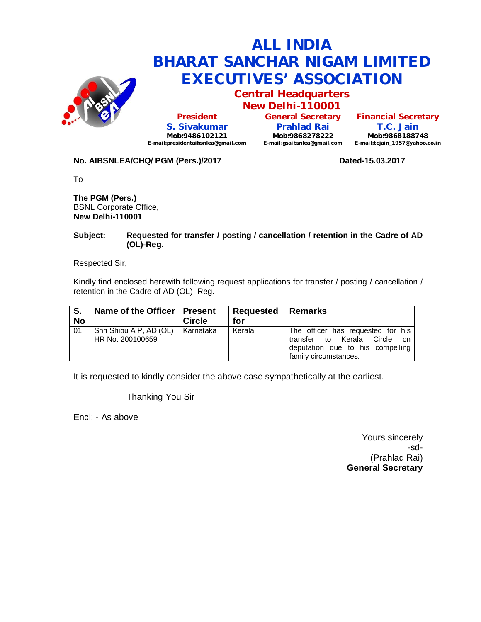

**Central Headquarters New Delhi-110001**

**President S. Sivakumar Mob:9486102121 E-mail:presidentaibsnlea@gmail.com**

**General Secretary Prahlad Rai Mob:9868278222 E-mail:gsaibsnlea@gmail.com**

**Financial Secretary T.C. Jain Mob:9868188748 E-mail:tcjain\_1957@yahoo.co.in**

#### **No. AIBSNLEA/CHQ/ PGM (Pers.)/2017 Dated-15.03.2017 Dated-15.03.2017**

To

**The PGM (Pers.)** BSNL Corporate Office, **New Delhi-110001** 

#### **Subject: Requested for transfer / posting / cancellation / retention in the Cadre of AD (OL)-Reg.**

Respected Sir,

Kindly find enclosed herewith following request applications for transfer / posting / cancellation / retention in the Cadre of AD (OL)–Reg.

| S.<br><b>No</b> | Name of the Officer   Present               | <b>Circle</b> | <b>Requested   Remarks</b><br>for |                                                                                                                                   |
|-----------------|---------------------------------------------|---------------|-----------------------------------|-----------------------------------------------------------------------------------------------------------------------------------|
| 01              | Shri Shibu A P, AD (OL)<br>HR No. 200100659 | Karnataka     | Kerala                            | The officer has requested for his<br>transfer to Kerala Circle<br>on<br>deputation due to his compelling<br>family circumstances. |

It is requested to kindly consider the above case sympathetically at the earliest.

Thanking You Sir

Encl: - As above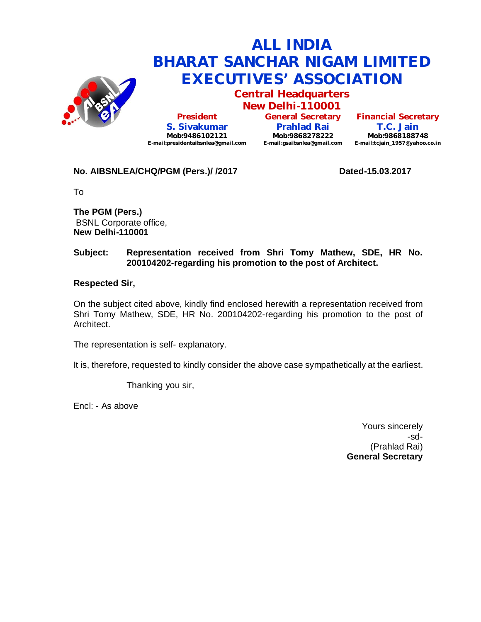

**Central Headquarters New Delhi-110001**

**President S. Sivakumar Mob:9486102121 E-mail:presidentaibsnlea@gmail.com**

**General Secretary Prahlad Rai Mob:9868278222 E-mail:gsaibsnlea@gmail.com E-mail:tcjain\_1957@yahoo.co.in**

**Financial Secretary T.C. Jain Mob:9868188748**

## **No. AIBSNLEA/CHQ/PGM (Pers.)/ /2017 Dated-15.03.2017**

To

**The PGM (Pers.)** BSNL Corporate office, **New Delhi-110001** 

## **Subject: Representation received from Shri Tomy Mathew, SDE, HR No. 200104202-regarding his promotion to the post of Architect.**

### **Respected Sir,**

On the subject cited above, kindly find enclosed herewith a representation received from Shri Tomy Mathew, SDE, HR No. 200104202-regarding his promotion to the post of Architect.

The representation is self- explanatory.

It is, therefore, requested to kindly consider the above case sympathetically at the earliest.

Thanking you sir,

Encl: - As above